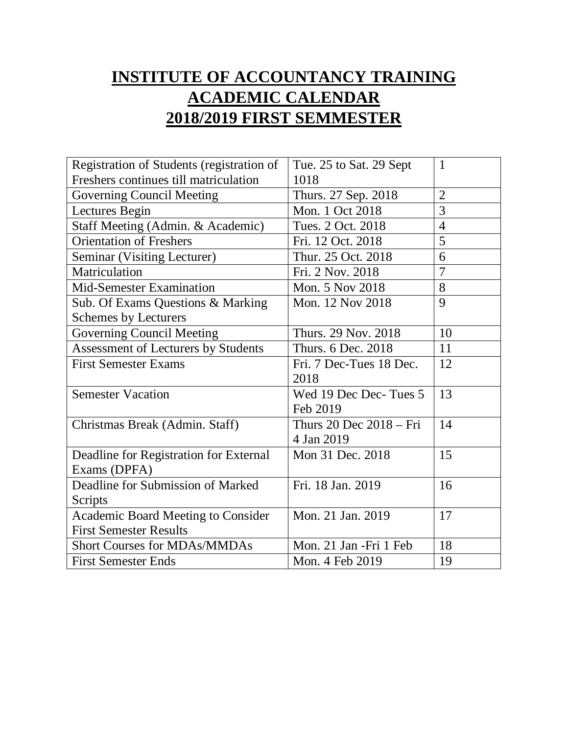## **INSTITUTE OF ACCOUNTANCY TRAINING ACADEMIC CALENDAR 2018/2019 FIRST SEMMESTER**

| Registration of Students (registration of  | Tue. 25 to Sat. 29 Sept | $\mathbf{1}$   |
|--------------------------------------------|-------------------------|----------------|
| Freshers continues till matriculation      | 1018                    |                |
| Governing Council Meeting                  | Thurs. 27 Sep. 2018     | $\overline{2}$ |
| Lectures Begin                             | Mon. 1 Oct 2018         | 3              |
| Staff Meeting (Admin. & Academic)          | Tues. 2 Oct. 2018       | $\overline{4}$ |
| <b>Orientation of Freshers</b>             | Fri. 12 Oct. 2018       | 5              |
| Seminar (Visiting Lecturer)                | Thur. 25 Oct. 2018      | 6              |
| Matriculation                              | Fri. 2 Nov. 2018        | $\overline{7}$ |
| Mid-Semester Examination                   | Mon. 5 Nov 2018         | 8              |
| Sub. Of Exams Questions & Marking          | Mon. 12 Nov 2018        | 9              |
| <b>Schemes by Lecturers</b>                |                         |                |
| <b>Governing Council Meeting</b>           | Thurs. 29 Nov. 2018     | 10             |
| <b>Assessment of Lecturers by Students</b> | Thurs. 6 Dec. 2018      | 11             |
| <b>First Semester Exams</b>                | Fri. 7 Dec-Tues 18 Dec. | 12             |
|                                            | 2018                    |                |
| <b>Semester Vacation</b>                   | Wed 19 Dec Dec-Tues 5   | 13             |
|                                            | Feb 2019                |                |
| Christmas Break (Admin. Staff)             | Thurs 20 Dec 2018 - Fri | 14             |
|                                            | 4 Jan 2019              |                |
| Deadline for Registration for External     | Mon 31 Dec. 2018        | 15             |
| Exams (DPFA)                               |                         |                |
| Deadline for Submission of Marked          | Fri. 18 Jan. 2019       | 16             |
| Scripts                                    |                         |                |
| <b>Academic Board Meeting to Consider</b>  | Mon. 21 Jan. 2019       | 17             |
| <b>First Semester Results</b>              |                         |                |
| <b>Short Courses for MDAs/MMDAs</b>        | Mon. 21 Jan -Fri 1 Feb  | 18             |
| <b>First Semester Ends</b>                 | Mon. 4 Feb 2019         | 19             |